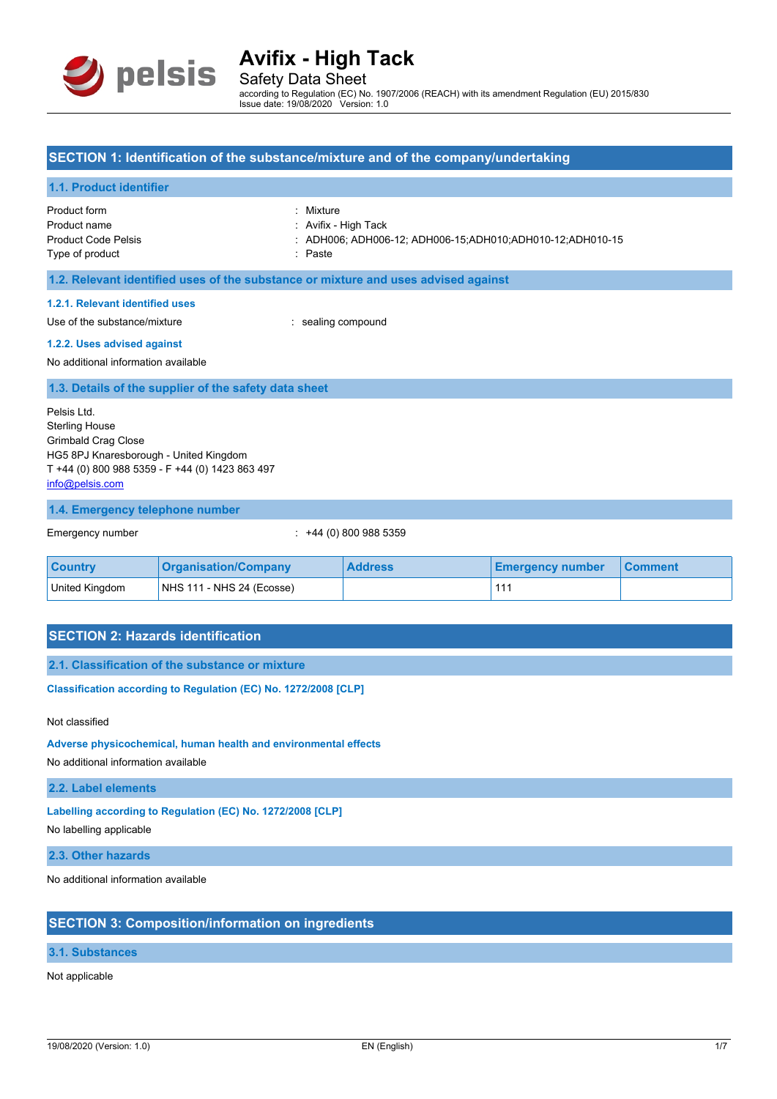

Safety Data Sheet according to Regulation (EC) No. 1907/2006 (REACH) with its amendment Regulation (EU) 2015/830 Issue date: 19/08/2020 Version: 1.0

### **SECTION 1: Identification of the substance/mixture and of the company/undertaking**

#### **1.1. Product identifier**

Product form : Mixture Product name **in the set of the Contract Avifix** - High Tack Type of product in the set of product in the set of product in the set of product in the set of product in the set of  $P$  as the set of  $P$  and  $P$  and  $P$  and  $P$  and  $P$  and  $P$  and  $P$  and  $P$  and  $P$  and  $P$  and  $P$  an

Product Code Pelsis : ADH006; ADH006-12; ADH006-15;ADH010;ADH010-12;ADH010-15

**1.2. Relevant identified uses of the substance or mixture and uses advised against**

#### **1.2.1. Relevant identified uses**

Use of the substance/mixture in the substance/mixture in the sealing compound

#### **1.2.2. Uses advised against**

No additional information available

**1.3. Details of the supplier of the safety data sheet**

Pelsis Ltd. Sterling House Grimbald Crag Close HG5 8PJ Knaresborough - United Kingdom T +44 (0) 800 988 5359 - F +44 (0) 1423 863 497 [info@pelsis.com](mailto:info@pelsis.com)

#### **1.4. Emergency telephone number**

Emergency number : +44 (0) 800 988 5359

| <b>Country</b> | <b>Organisation/Company</b> | <b>Address</b> | <b>Emergency number</b> | <b>Comment</b> |
|----------------|-----------------------------|----------------|-------------------------|----------------|
| United Kingdom | NHS 111 - NHS 24 (Ecosse)   |                |                         |                |

## **SECTION 2: Hazards identification**

**2.1. Classification of the substance or mixture**

**Classification according to Regulation (EC) No. 1272/2008 [CLP]** 

Not classified

**Adverse physicochemical, human health and environmental effects**

No additional information available

**2.2. Label elements**

**Labelling according to Regulation (EC) No. 1272/2008 [CLP]**

No labelling applicable

**2.3. Other hazards**

No additional information available

## **SECTION 3: Composition/information on ingredients**

### **3.1. Substances**

Not applicable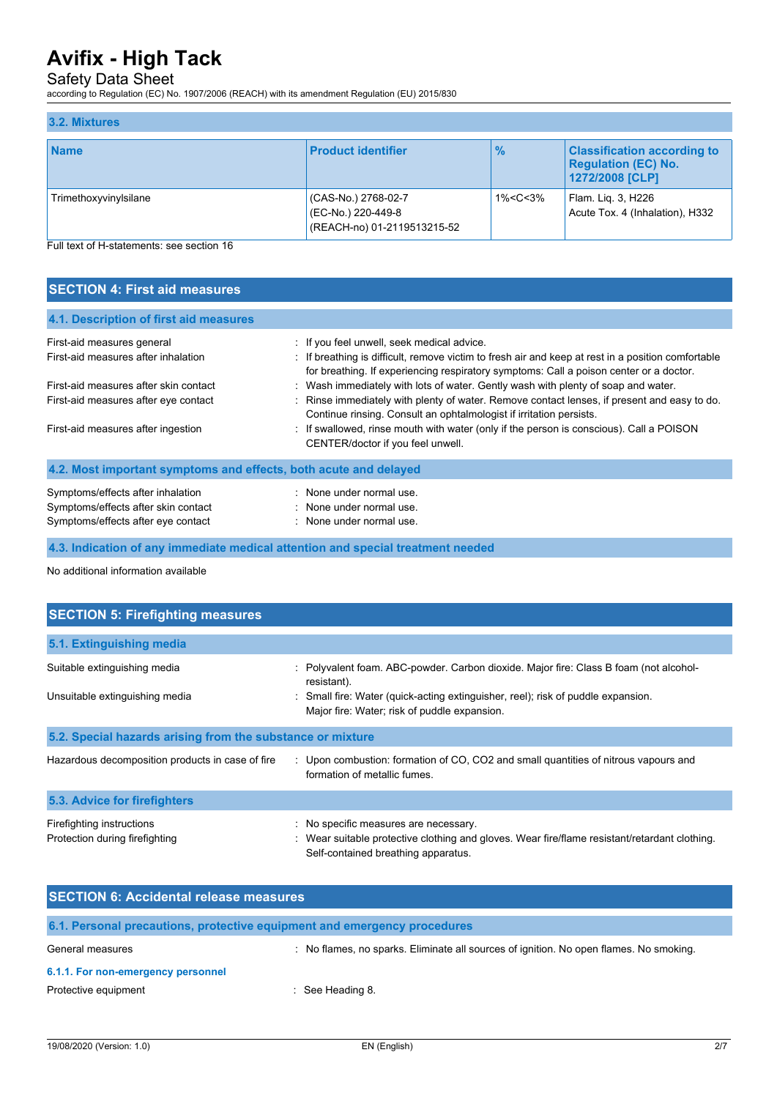# Safety Data Sheet

according to Regulation (EC) No. 1907/2006 (REACH) with its amendment Regulation (EU) 2015/830

| 3.2. Mixtures         |                                                                          |                                                                                         |                                                                                     |
|-----------------------|--------------------------------------------------------------------------|-----------------------------------------------------------------------------------------|-------------------------------------------------------------------------------------|
| <b>Name</b>           | <b>Product identifier</b>                                                | $\frac{9}{6}$                                                                           | <b>Classification according to</b><br><b>Regulation (EC) No.</b><br>1272/2008 [CLP] |
| Trimethoxyvinylsilane | (CAS-No.) 2768-02-7<br>(EC-No.) 220-449-8<br>(REACH-no) 01-2119513215-52 | 1% <c<3%< td=""><td>Flam. Lig. 3, H226<br/>Acute Tox. 4 (Inhalation), H332</td></c<3%<> | Flam. Lig. 3, H226<br>Acute Tox. 4 (Inhalation), H332                               |

Full text of H-statements: see section 16

# **SECTION 4: First aid measures**

| 4.1. Description of first aid measures                           |                                                                                                                                                                                              |
|------------------------------------------------------------------|----------------------------------------------------------------------------------------------------------------------------------------------------------------------------------------------|
| First-aid measures general                                       | : If you feel unwell, seek medical advice.                                                                                                                                                   |
| First-aid measures after inhalation                              | : If breathing is difficult, remove victim to fresh air and keep at rest in a position comfortable<br>for breathing. If experiencing respiratory symptoms: Call a poison center or a doctor. |
| First-aid measures after skin contact                            | : Wash immediately with lots of water. Gently wash with plenty of soap and water.                                                                                                            |
| First-aid measures after eye contact                             | : Rinse immediately with plenty of water. Remove contact lenses, if present and easy to do.<br>Continue rinsing. Consult an ophtalmologist if irritation persists.                           |
| First-aid measures after ingestion                               | : If swallowed, rinse mouth with water (only if the person is conscious). Call a POISON<br>CENTER/doctor if you feel unwell.                                                                 |
| 4.2. Most important symptoms and effects, both acute and delayed |                                                                                                                                                                                              |
| Symptoms/effects after inhalation                                | : None under normal use.                                                                                                                                                                     |
| Symptoms/effects after skin contact                              | : None under normal use.                                                                                                                                                                     |
| Symptoms/effects after eye contact                               | : None under normal use.                                                                                                                                                                     |

**4.3. Indication of any immediate medical attention and special treatment needed**

No additional information available

| <b>SECTION 5: Firefighting measures</b>                        |                                                                                                                                                                                                                                        |  |  |
|----------------------------------------------------------------|----------------------------------------------------------------------------------------------------------------------------------------------------------------------------------------------------------------------------------------|--|--|
| 5.1. Extinguishing media                                       |                                                                                                                                                                                                                                        |  |  |
| Suitable extinguishing media<br>Unsuitable extinguishing media | : Polyvalent foam. ABC-powder. Carbon dioxide. Major fire: Class B foam (not alcohol-<br>resistant).<br>Small fire: Water (quick-acting extinguisher, reel); risk of puddle expansion.<br>Major fire: Water; risk of puddle expansion. |  |  |
| 5.2. Special hazards arising from the substance or mixture     |                                                                                                                                                                                                                                        |  |  |
| Hazardous decomposition products in case of fire               | : Upon combustion: formation of CO, CO2 and small quantities of nitrous vapours and<br>formation of metallic fumes.                                                                                                                    |  |  |
| 5.3. Advice for firefighters                                   |                                                                                                                                                                                                                                        |  |  |
| Firefighting instructions<br>Protection during firefighting    | : No specific measures are necessary.<br>Wear suitable protective clothing and gloves. Wear fire/flame resistant/retardant clothing.<br>Self-contained breathing apparatus.                                                            |  |  |

| <b>SECTION 6: Accidental release measures</b> |                                                                                        |  |
|-----------------------------------------------|----------------------------------------------------------------------------------------|--|
|                                               | 6.1. Personal precautions, protective equipment and emergency procedures               |  |
| General measures                              | : No flames, no sparks. Eliminate all sources of ignition. No open flames. No smoking. |  |
| 6.1.1. For non-emergency personnel            |                                                                                        |  |
| Protective equipment                          | $\therefore$ See Heading 8.                                                            |  |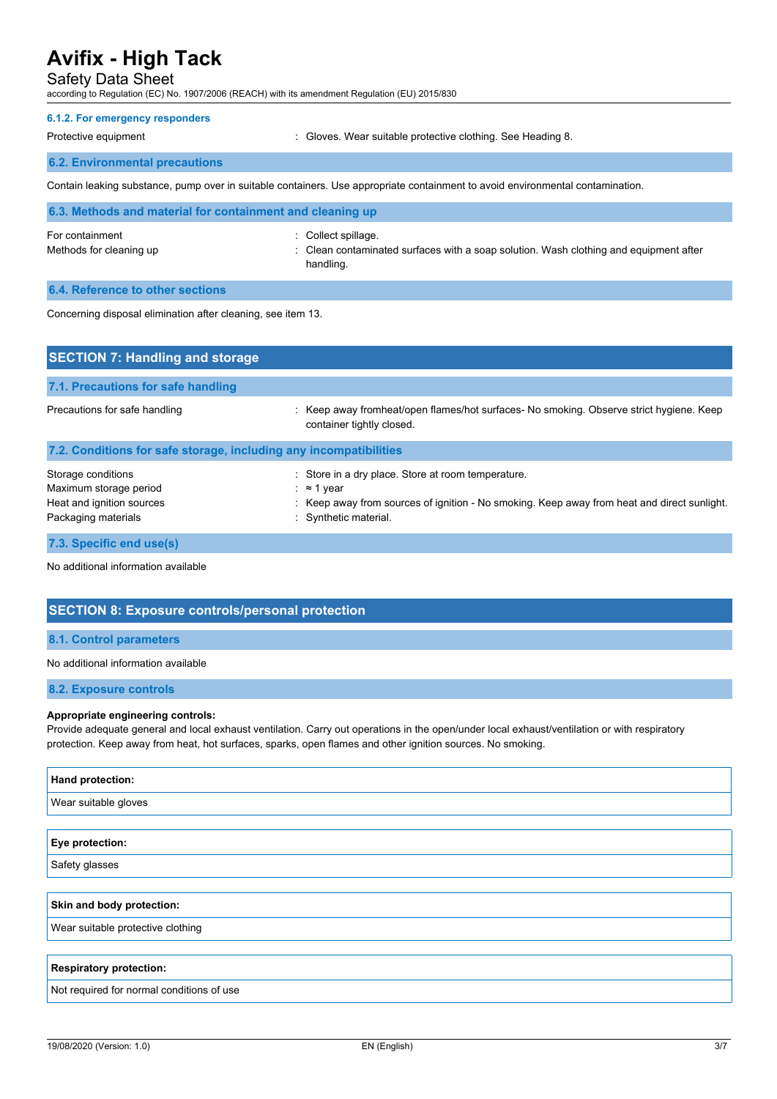## Safety Data Sheet

according to Regulation (EC) No. 1907/2006 (REACH) with its amendment Regulation (EU) 2015/830

#### **6.1.2. For emergency responders**

Protective equipment **in the case of the Contract Contract** : Gloves. Wear suitable protective clothing. See Heading 8.

### **6.2. Environmental precautions**

Contain leaking substance, pump over in suitable containers. Use appropriate containment to avoid environmental contamination.

| 6.3. Methods and material for containment and cleaning up |                                                                                                                           |  |
|-----------------------------------------------------------|---------------------------------------------------------------------------------------------------------------------------|--|
| For containment<br>Methods for cleaning up                | : Collect spillage.<br>: Clean contaminated surfaces with a soap solution. Wash clothing and equipment after<br>handling. |  |
| 6.4. Reference to other sections                          |                                                                                                                           |  |

Concerning disposal elimination after cleaning, see item 13.

| <b>SECTION 7: Handling and storage</b>                                                           |                                                                                                                                                                                          |  |  |
|--------------------------------------------------------------------------------------------------|------------------------------------------------------------------------------------------------------------------------------------------------------------------------------------------|--|--|
| 7.1. Precautions for safe handling                                                               |                                                                                                                                                                                          |  |  |
| Precautions for safe handling                                                                    | Keep away fromheat/open flames/hot surfaces- No smoking. Observe strict hygiene. Keep<br>container tightly closed.                                                                       |  |  |
| 7.2. Conditions for safe storage, including any incompatibilities                                |                                                                                                                                                                                          |  |  |
| Storage conditions<br>Maximum storage period<br>Heat and ignition sources<br>Packaging materials | : Store in a dry place. Store at room temperature.<br>: ≈ 1 year<br>: Keep away from sources of ignition - No smoking. Keep away from heat and direct sunlight.<br>: Synthetic material. |  |  |
| 7.3. Specific end use(s)                                                                         |                                                                                                                                                                                          |  |  |

No additional information available

# **SECTION 8: Exposure controls/personal protection**

#### **8.1. Control parameters**

No additional information available

#### **8.2. Exposure controls**

#### **Appropriate engineering controls:**

Provide adequate general and local exhaust ventilation. Carry out operations in the open/under local exhaust/ventilation or with respiratory protection. Keep away from heat, hot surfaces, sparks, open flames and other ignition sources. No smoking.

| Hand protection:                          |
|-------------------------------------------|
| Wear suitable gloves                      |
|                                           |
| Eye protection:                           |
| Safety glasses                            |
|                                           |
| Skin and body protection:                 |
| Wear suitable protective clothing         |
|                                           |
| <b>Respiratory protection:</b>            |
| Not required for normal conditions of use |
|                                           |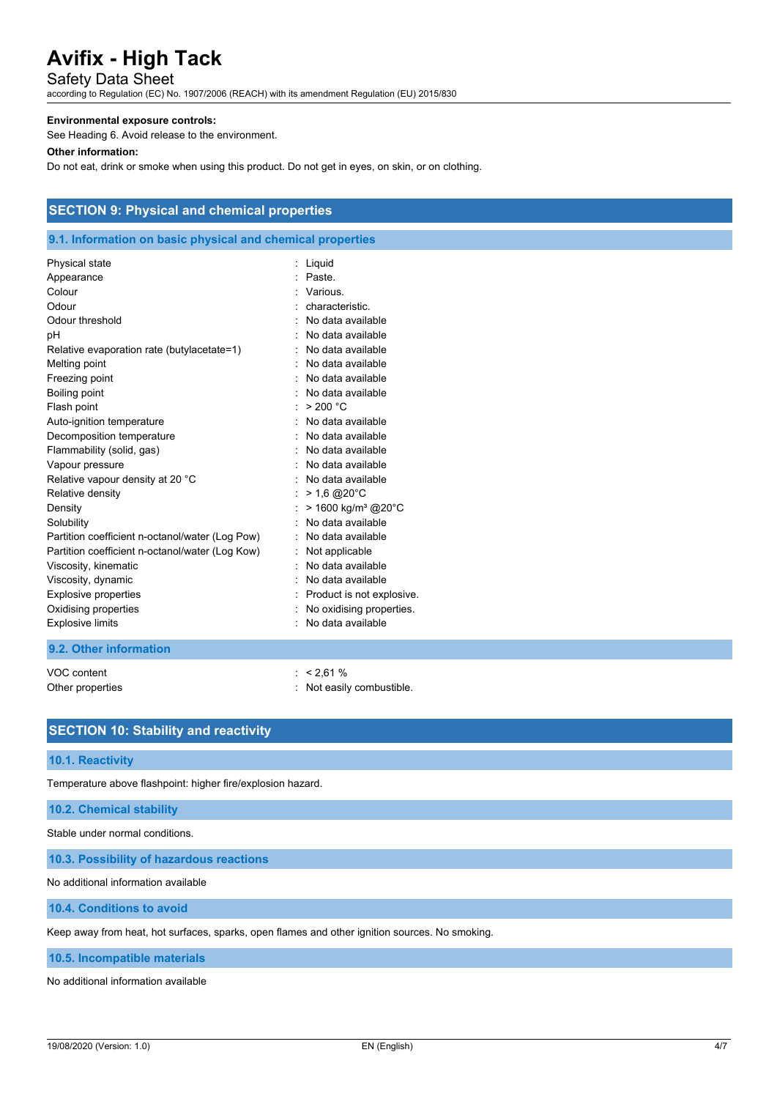# Safety Data Sheet

according to Regulation (EC) No. 1907/2006 (REACH) with its amendment Regulation (EU) 2015/830

#### **Environmental exposure controls:**

See Heading 6. Avoid release to the environment.

## **Other information:**

Do not eat, drink or smoke when using this product. Do not get in eyes, on skin, or on clothing.

# **SECTION 9: Physical and chemical properties**

## **9.1. Information on basic physical and chemical properties**

| Physical state<br>Appearance<br>Colour<br>Odour<br>Odour threshold<br>рH<br>Relative evaporation rate (butylacetate=1)<br>Melting point<br>Freezing point<br>Boiling point<br>Flash point<br>Auto-ignition temperature<br>Decomposition temperature<br>Flammability (solid, gas)<br>Vapour pressure<br>Relative vapour density at 20 °C<br>Relative density<br>Density<br>Solubility<br>Partition coefficient n-octanol/water (Log Pow) | Liquid<br>Paste<br>Various.<br>characteristic<br>No data available<br>No data available<br>No data available<br>No data available<br>No data available<br>: No data available<br>> 200 °C<br>No data available<br>No data available<br>No data available<br>No data available<br>No data available<br>$> 1.6 \text{ @ } 20^{\circ} \text{C}$<br>> 1600 kg/m <sup>3</sup> @20°C<br>No data available<br>No data available |
|-----------------------------------------------------------------------------------------------------------------------------------------------------------------------------------------------------------------------------------------------------------------------------------------------------------------------------------------------------------------------------------------------------------------------------------------|--------------------------------------------------------------------------------------------------------------------------------------------------------------------------------------------------------------------------------------------------------------------------------------------------------------------------------------------------------------------------------------------------------------------------|
|                                                                                                                                                                                                                                                                                                                                                                                                                                         |                                                                                                                                                                                                                                                                                                                                                                                                                          |
| Partition coefficient n-octanol/water (Log Kow)<br>Viscosity, kinematic<br>Viscosity, dynamic<br><b>Explosive properties</b><br>Oxidising properties<br><b>Explosive limits</b>                                                                                                                                                                                                                                                         | Not applicable<br>No data available<br>No data available<br>Product is not explosive.<br>No oxidising properties.<br>No data available                                                                                                                                                                                                                                                                                   |

### **9.2. Other information**

VOC content : < 2,61 % Other properties in the combustible. The combustible of the combustible.

## **SECTION 10: Stability and reactivity**

#### **10.1. Reactivity**

Temperature above flashpoint: higher fire/explosion hazard.

#### **10.2. Chemical stability**

Stable under normal conditions.

**10.3. Possibility of hazardous reactions**

No additional information available

### **10.4. Conditions to avoid**

Keep away from heat, hot surfaces, sparks, open flames and other ignition sources. No smoking.

### **10.5. Incompatible materials**

No additional information available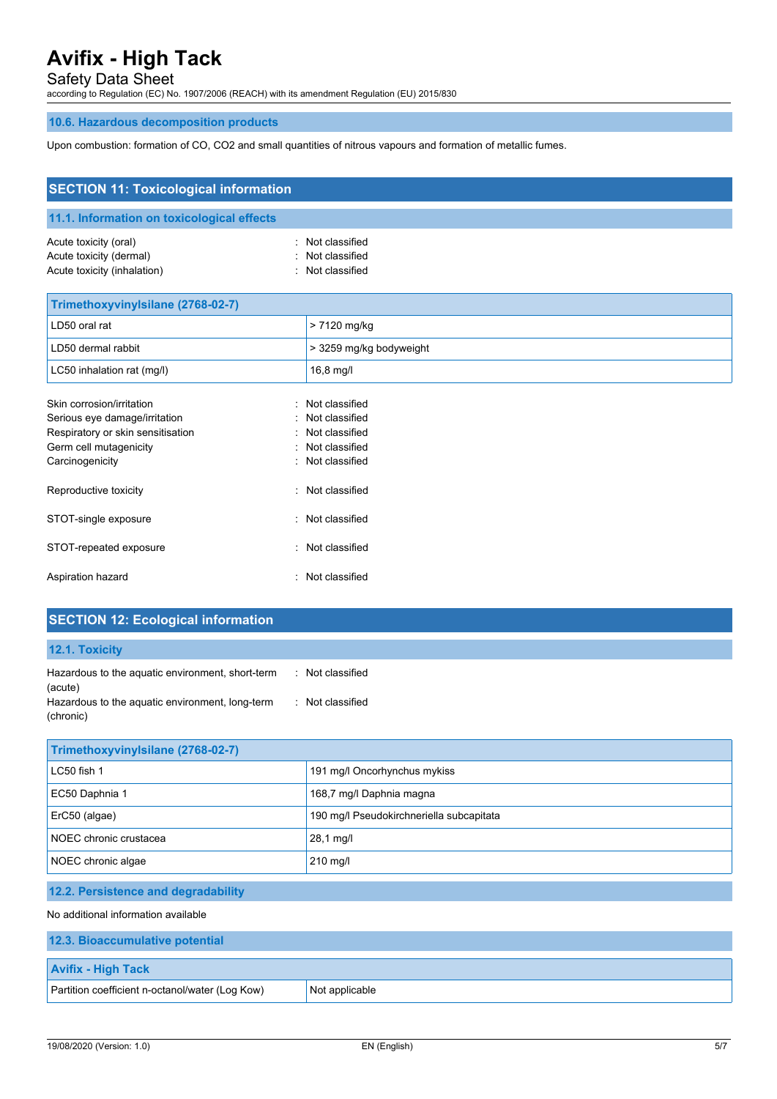Safety Data Sheet

according to Regulation (EC) No. 1907/2006 (REACH) with its amendment Regulation (EU) 2015/830

## **10.6. Hazardous decomposition products**

Upon combustion: formation of CO, CO2 and small quantities of nitrous vapours and formation of metallic fumes.

| <b>SECTION 11: Toxicological information</b>                                                                                                 |                                                                                          |  |  |
|----------------------------------------------------------------------------------------------------------------------------------------------|------------------------------------------------------------------------------------------|--|--|
| 11.1. Information on toxicological effects                                                                                                   |                                                                                          |  |  |
| Acute toxicity (oral)<br>Acute toxicity (dermal)<br>Acute toxicity (inhalation)                                                              | Not classified<br>Not classified<br>Not classified                                       |  |  |
| Trimethoxyvinylsilane (2768-02-7)                                                                                                            |                                                                                          |  |  |
| LD50 oral rat                                                                                                                                | > 7120 mg/kg                                                                             |  |  |
| LD50 dermal rabbit                                                                                                                           | > 3259 mg/kg bodyweight                                                                  |  |  |
| LC50 inhalation rat (mg/l)                                                                                                                   | $16,8$ mg/l                                                                              |  |  |
| Skin corrosion/irritation<br>Serious eye damage/irritation<br>Respiratory or skin sensitisation<br>Germ cell mutagenicity<br>Carcinogenicity | Not classified<br>Not classified<br>Not classified<br>Not classified<br>: Not classified |  |  |
| Reproductive toxicity<br>۰.                                                                                                                  | Not classified                                                                           |  |  |
| STOT-single exposure                                                                                                                         | : Not classified                                                                         |  |  |
| STOT-repeated exposure<br>÷.                                                                                                                 | Not classified                                                                           |  |  |
| Aspiration hazard                                                                                                                            | : Not classified                                                                         |  |  |

| <b>SECTION 12: Ecological information</b>                  |                  |
|------------------------------------------------------------|------------------|
| <b>12.1. Toxicity</b>                                      |                  |
| Hazardous to the aquatic environment, short-term           | : Not classified |
| (acute)<br>Hazardous to the aquatic environment, long-term | Not classified   |

| Trimethoxyvinylsilane (2768-02-7)   |                                          |  |
|-------------------------------------|------------------------------------------|--|
| LC50 fish 1                         | 191 mg/l Oncorhynchus mykiss             |  |
| EC50 Daphnia 1                      | 168,7 mg/l Daphnia magna                 |  |
| ErC50 (algae)                       | 190 mg/l Pseudokirchneriella subcapitata |  |
| NOEC chronic crustacea              | 28,1 mg/l                                |  |
| NOEC chronic algae                  | $210$ mg/l                               |  |
| 12.2. Persistence and degradability |                                          |  |
| No additional information available |                                          |  |

| 12.3. Bioaccumulative potential                 |                |  |
|-------------------------------------------------|----------------|--|
| <b>Avifix - High Tack</b>                       |                |  |
| Partition coefficient n-octanol/water (Log Kow) | Not applicable |  |

(chronic)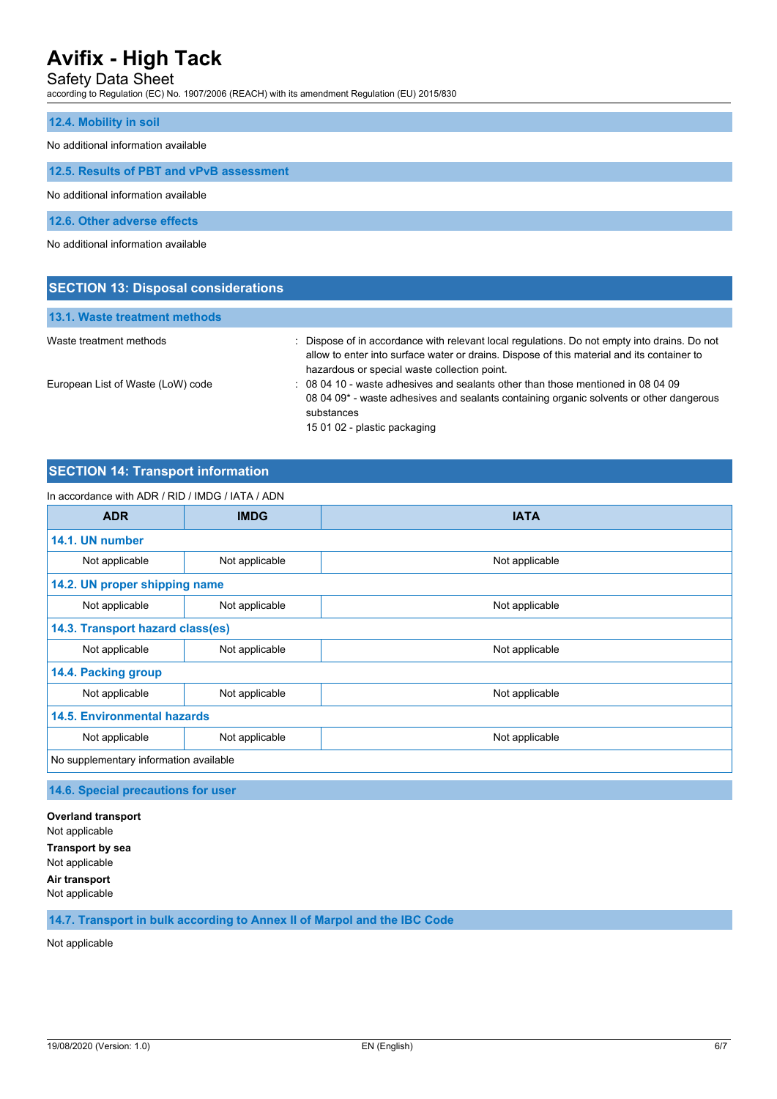# Safety Data Sheet

according to Regulation (EC) No. 1907/2006 (REACH) with its amendment Regulation (EU) 2015/830

#### **12.4. Mobility in soil**

No additional information available

**12.5. Results of PBT and vPvB assessment**

No additional information available

**12.6. Other adverse effects**

No additional information available

**SECTION 13: Disposal considerations**

| <b>SECTION 13: DISPOSAL CONSIDERATIONS</b> |                                                                                                                                                                                                                                          |
|--------------------------------------------|------------------------------------------------------------------------------------------------------------------------------------------------------------------------------------------------------------------------------------------|
| 13.1. Waste treatment methods              |                                                                                                                                                                                                                                          |
| Waste treatment methods                    | Dispose of in accordance with relevant local regulations. Do not empty into drains. Do not<br>allow to enter into surface water or drains. Dispose of this material and its container to<br>hazardous or special waste collection point. |
| European List of Waste (LoW) code          | : 08 04 10 - waste adhesives and sealants other than those mentioned in 08 04 09<br>08 04 09 <sup>*</sup> - waste adhesives and sealants containing organic solvents or other dangerous<br>substances<br>15 01 02 - plastic packaging    |

## **SECTION 14: Transport information**

| In accordance with ADR / RID / IMDG / IATA / ADN |                |                |  |
|--------------------------------------------------|----------------|----------------|--|
| <b>ADR</b>                                       | <b>IMDG</b>    | <b>IATA</b>    |  |
| 14.1. UN number                                  |                |                |  |
| Not applicable                                   | Not applicable | Not applicable |  |
| 14.2. UN proper shipping name                    |                |                |  |
| Not applicable                                   | Not applicable | Not applicable |  |
| 14.3. Transport hazard class(es)                 |                |                |  |
| Not applicable                                   | Not applicable | Not applicable |  |
| 14.4. Packing group                              |                |                |  |
| Not applicable                                   | Not applicable | Not applicable |  |
| <b>14.5. Environmental hazards</b>               |                |                |  |
| Not applicable                                   | Not applicable | Not applicable |  |
| No supplementary information available           |                |                |  |

**14.6. Special precautions for user**

**Overland transport** Not applicable **Transport by sea** Not applicable **Air transport** Not applicable

## **14.7. Transport in bulk according to Annex II of Marpol and the IBC Code**

Not applicable